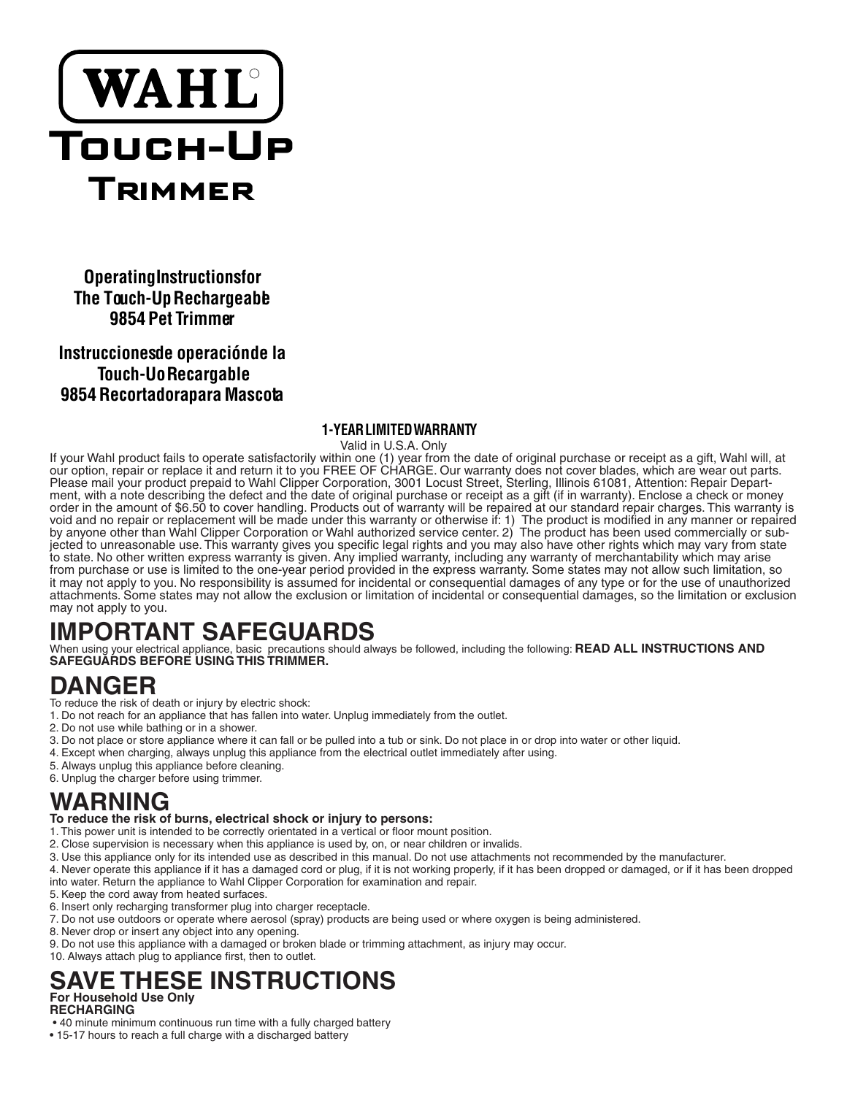

**Operating Instructionsfor The Touch-Up Rechargeable 9854 Pet Trimmer**

### **Instrucciones de operación de la Touch-Uo Recargable 9854 Recortadorapara Mascota**

#### **1-YEAR LIMITED WARRANTY**

 Valid in U.S.A. Only If your Wahl product fails to operate satisfactorily within one (1) year from the date of original purchase or receipt as a gift, Wahl will, at our option, repair or replace it and return it to you FREE OF CHARGE. Our warranty does not cover blades, which are wear out parts. Please mail your product prepaid to Wahl Clipper Corporation, 3001 Locust Street, Sterling, Illinois 61081, Attention: Repair Department, with a note describing the defect and the date of original purchase or receipt as a gift (if in warranty). Enclose a check or money order in the amount of \$6.50 to cover handling. Products out of warranty will be repaired at our standard repair charges. This warranty is void and no repair or replacement will be made under this warranty or otherwise if: 1) The product is modified in any manner or repaired by anyone other than Wahl Clipper Corporation or Wahl authorized service center. 2) The product has been used commercially or subjected to unreasonable use. This warranty gives you specific legal rights and you may also have other rights which may vary from state to state. No other written express warranty is given. Any implied warranty, including any warranty of merchantability which may arise from purchase or use is limited to the one-year period provided in the express warranty. Some states may not allow such limitation, so it may not apply to you. No responsibility is assumed for incidental or consequential damages of any type or for the use of unauthorized attachments. Some states may not allow the exclusion or limitation of incidental or consequential damages, so the limitation or exclusion may not apply to you.

# **IMPORTANT SAFEGUARDS**

When using your electrical appliance, basic precautions should always be followed, including the following: **READ ALL INSTRUCTIONS AND SAFEGUARDS BEFORE USING THIS TRIMMER.**

## **DANGER**

- To reduce the risk of death or injury by electric shock:
- 1. Do not reach for an appliance that has fallen into water. Unplug immediately from the outlet.
- 2. Do not use while bathing or in a shower.
- 3. Do not place or store appliance where it can fall or be pulled into a tub or sink. Do not place in or drop into water or other liquid.
- 4. Except when charging, always unplug this appliance from the electrical outlet immediately after using.
- 5. Always unplug this appliance before cleaning.
- 6. Unplug the charger before using trimmer.

## **WARNING**

#### **To reduce the risk of burns, electrical shock or injury to persons:**

- 1. This power unit is intended to be correctly orientated in a vertical or floor mount position.
- 2. Close supervision is necessary when this appliance is used by, on, or near children or invalids.
- 3. Use this appliance only for its intended use as described in this manual. Do not use attachments not recommended by the manufacturer.
- 4. Never operate this appliance if it has a damaged cord or plug, if it is not working properly, if it has been dropped or damaged, or if it has been dropped into water. Return the appliance to Wahl Clipper Corporation for examination and repair.
- 5. Keep the cord away from heated surfaces.
- 6. Insert only recharging transformer plug into charger receptacle.
- 7. Do not use outdoors or operate where aerosol (spray) products are being used or where oxygen is being administered.
- 8. Never drop or insert any object into any opening.
- 9. Do not use this appliance with a damaged or broken blade or trimming attachment, as injury may occur.
- 10. Always attach plug to appliance first, then to outlet.

#### **SAVE THESE INSTRUCTIONS For Household Use Only RECHARGING**

- 40 minute minimum continuous run time with a fully charged battery
- 15-17 hours to reach a full charge with a discharged battery